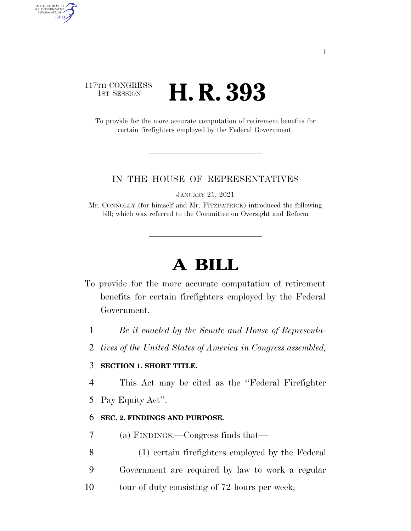### 117TH CONGRESS **H. R. 393**

AUTHENTICATED<br>U.S. GOVERNMENT<br>INFORMATION **GPO** 

> To provide for the more accurate computation of retirement benefits for certain firefighters employed by the Federal Government.

#### IN THE HOUSE OF REPRESENTATIVES

JANUARY 21, 2021

Mr. CONNOLLY (for himself and Mr. FITZPATRICK) introduced the following bill; which was referred to the Committee on Oversight and Reform

# **A BILL**

- To provide for the more accurate computation of retirement benefits for certain firefighters employed by the Federal Government.
	- 1 *Be it enacted by the Senate and House of Representa-*
	- 2 *tives of the United States of America in Congress assembled,*

#### 3 **SECTION 1. SHORT TITLE.**

- 4 This Act may be cited as the ''Federal Firefighter
- 5 Pay Equity Act''.

#### 6 **SEC. 2. FINDINGS AND PURPOSE.**

- 7 (a) FINDINGS.—Congress finds that—
- 8 (1) certain firefighters employed by the Federal 9 Government are required by law to work a regular
- 10 tour of duty consisting of 72 hours per week;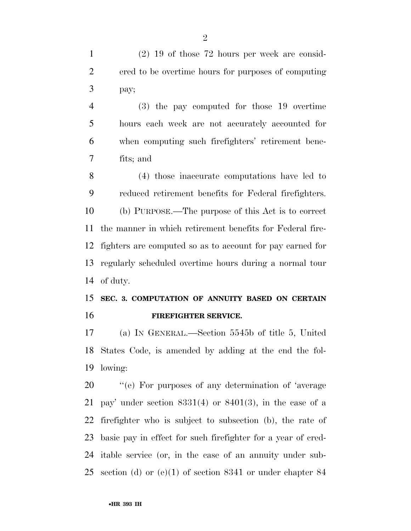(2) 19 of those 72 hours per week are consid- ered to be overtime hours for purposes of computing pay;

 (3) the pay computed for those 19 overtime hours each week are not accurately accounted for when computing such firefighters' retirement bene-fits; and

 (4) those inaccurate computations have led to reduced retirement benefits for Federal firefighters. (b) PURPOSE.—The purpose of this Act is to correct the manner in which retirement benefits for Federal fire- fighters are computed so as to account for pay earned for regularly scheduled overtime hours during a normal tour of duty.

## **SEC. 3. COMPUTATION OF ANNUITY BASED ON CERTAIN FIREFIGHTER SERVICE.**

 (a) IN GENERAL.—Section 5545b of title 5, United States Code, is amended by adding at the end the fol-lowing:

 $\%$  (e) For purposes of any determination of 'average 21 pay' under section  $8331(4)$  or  $8401(3)$ , in the case of a firefighter who is subject to subsection (b), the rate of basic pay in effect for such firefighter for a year of cred- itable service (or, in the case of an annuity under sub-section (d) or (e)(1) of section 8341 or under chapter 84